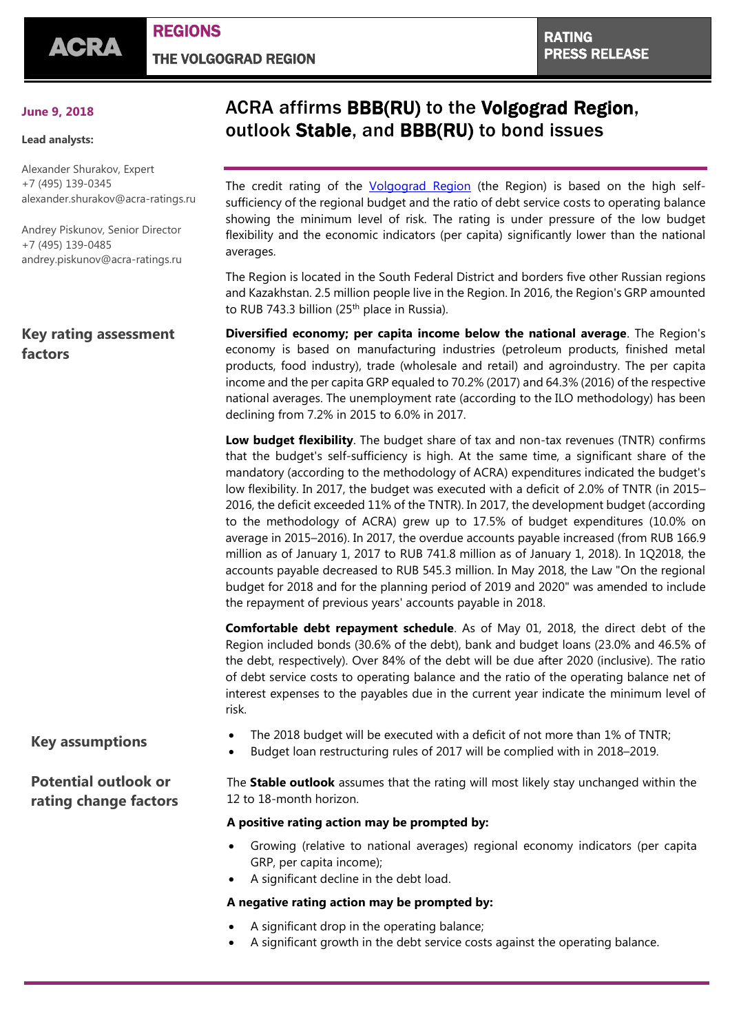## **June 9, 2018**

### **Lead analysts:**

Alexander Shurakov, Expert +7 (495) 139-0345 [alexander.shurakov@acra-ratings.ru](mailto:alexander.shurakov@acra-ratings.ru)

Andrey Piskunov, Senior Director +7 (495) 139-0485 [andrey.piskunov@acra-ratings.ru](mailto:andrey.piskunov@acra-ratings.ru)

## **Key rating assessment factors**

# ACRA affirms BBB(RU) to the Volgograd Region, outlook Stable, and BBB(RU) to bond issues

The credit rating of the *[Volgograd](https://www.acra-ratings.com/ratings/issuers/47) Region* (the Region) is based on the high selfsufficiency of the regional budget and the ratio of debt service costs to operating balance showing the minimum level of risk. The rating is under pressure of the low budget flexibility and the economic indicators (per capita) significantly lower than the national averages.

The Region is located in the South Federal District and borders five other Russian regions and Kazakhstan. 2.5 million people live in the Region. In 2016, the Region's GRP amounted to RUB 743.3 billion (25<sup>th</sup> place in Russia).

**Diversified economy; per capita income below the national average**. The Region's economy is based on manufacturing industries (petroleum products, finished metal products, food industry), trade (wholesale and retail) and agroindustry. The per capita income and the per capita GRP equaled to 70.2% (2017) and 64.3% (2016) of the respective national averages. The unemployment rate (according to the ILO methodology) has been declining from 7.2% in 2015 to 6.0% in 2017.

**Low budget flexibility**. The budget share of tax and non-tax revenues (TNTR) confirms that the budget's self-sufficiency is high. At the same time, a significant share of the mandatory (according to the methodology of ACRA) expenditures indicated the budget's low flexibility. In 2017, the budget was executed with a deficit of 2.0% of TNTR (in 2015– 2016, the deficit exceeded 11% of the TNTR). In 2017, the development budget (according to the methodology of ACRA) grew up to 17.5% of budget expenditures (10.0% on average in 2015–2016). In 2017, the overdue accounts payable increased (from RUB 166.9 million as of January 1, 2017 to RUB 741.8 million as of January 1, 2018). In 1Q2018, the accounts payable decreased to RUB 545.3 million. In May 2018, the Law "On the regional budget for 2018 and for the planning period of 2019 and 2020" was amended to include the repayment of previous years' accounts payable in 2018.

**Comfortable debt repayment schedule**. As of May 01, 2018, the direct debt of the Region included bonds (30.6% of the debt), bank and budget loans (23.0% and 46.5% of the debt, respectively). Over 84% of the debt will be due after 2020 (inclusive). The ratio of debt service costs to operating balance and the ratio of the operating balance net of interest expenses to the payables due in the current year indicate the minimum level of risk.

**Potential outlook or rating change factors**

- **Key assumptions** The 2018 budget will be executed with a deficit of not more than 1% of TNTR;
	- Budget loan restructuring rules of 2017 will be complied with in 2018–2019.

The **Stable outlook** assumes that the rating will most likely stay unchanged within the 12 to 18-month horizon.

## **A positive rating action may be prompted by:**

- Growing (relative to national averages) regional economy indicators (per capita GRP, per capita income);
- A significant decline in the debt load.

## **A negative rating action may be prompted by:**

- A significant drop in the operating balance;
- A significant growth in the debt service costs against the operating balance.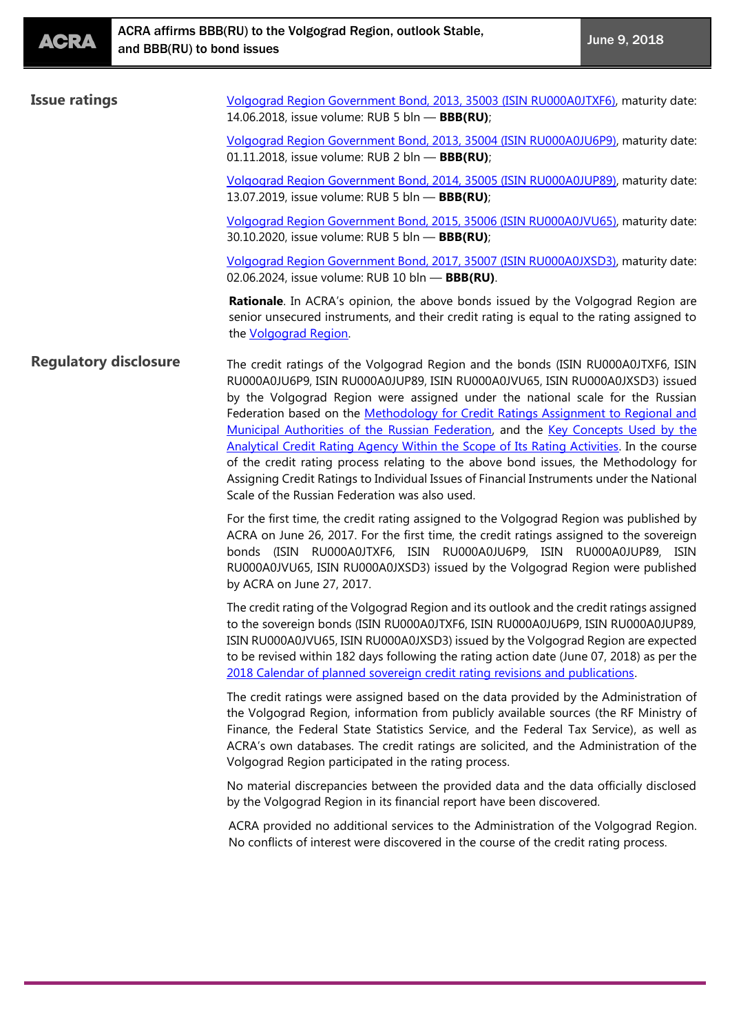| <b>Issue ratings</b>         | Volgograd Region Government Bond, 2013, 35003 (ISIN RU000A0JTXF6), maturity date:<br>14.06.2018, issue volume: RUB 5 bln - BBB(RU);                                                                                                                                                                                                                                                                                                                                                                                                                                                                                                                                                                                                                              |
|------------------------------|------------------------------------------------------------------------------------------------------------------------------------------------------------------------------------------------------------------------------------------------------------------------------------------------------------------------------------------------------------------------------------------------------------------------------------------------------------------------------------------------------------------------------------------------------------------------------------------------------------------------------------------------------------------------------------------------------------------------------------------------------------------|
|                              | Volgograd Region Government Bond, 2013, 35004 (ISIN RU000A0JU6P9), maturity date:<br>01.11.2018, issue volume: RUB 2 bln - BBB(RU);                                                                                                                                                                                                                                                                                                                                                                                                                                                                                                                                                                                                                              |
|                              | Volgograd Region Government Bond, 2014, 35005 (ISIN RU000A0JUP89), maturity date:<br>13.07.2019, issue volume: RUB 5 bln - BBB(RU);                                                                                                                                                                                                                                                                                                                                                                                                                                                                                                                                                                                                                              |
|                              | Volgograd Region Government Bond, 2015, 35006 (ISIN RU000A0JVU65), maturity date:<br>30.10.2020, issue volume: RUB 5 bln - BBB(RU);                                                                                                                                                                                                                                                                                                                                                                                                                                                                                                                                                                                                                              |
|                              | Volgograd Region Government Bond, 2017, 35007 (ISIN RU000A0JXSD3), maturity date:<br>02.06.2024, issue volume: RUB 10 bln - BBB(RU).                                                                                                                                                                                                                                                                                                                                                                                                                                                                                                                                                                                                                             |
|                              | <b>Rationale.</b> In ACRA's opinion, the above bonds issued by the Volgograd Region are<br>senior unsecured instruments, and their credit rating is equal to the rating assigned to<br>the Volgograd Region.                                                                                                                                                                                                                                                                                                                                                                                                                                                                                                                                                     |
| <b>Regulatory disclosure</b> | The credit ratings of the Volgograd Region and the bonds (ISIN RU000A0JTXF6, ISIN<br>RU000A0JU6P9, ISIN RU000A0JUP89, ISIN RU000A0JVU65, ISIN RU000A0JXSD3) issued<br>by the Volgograd Region were assigned under the national scale for the Russian<br>Federation based on the Methodology for Credit Ratings Assignment to Regional and<br>Municipal Authorities of the Russian Federation, and the Key Concepts Used by the<br>Analytical Credit Rating Agency Within the Scope of Its Rating Activities. In the course<br>of the credit rating process relating to the above bond issues, the Methodology for<br>Assigning Credit Ratings to Individual Issues of Financial Instruments under the National<br>Scale of the Russian Federation was also used. |
|                              | For the first time, the credit rating assigned to the Volgograd Region was published by<br>ACRA on June 26, 2017. For the first time, the credit ratings assigned to the sovereign<br>bonds (ISIN RU000A0JTXF6, ISIN RU000A0JU6P9, ISIN RU000A0JUP89, ISIN<br>RU000A0JVU65, ISIN RU000A0JXSD3) issued by the Volgograd Region were published<br>by ACRA on June 27, 2017.                                                                                                                                                                                                                                                                                                                                                                                        |
|                              | The credit rating of the Volgograd Region and its outlook and the credit ratings assigned<br>to the sovereign bonds (ISIN RU000A0JTXF6, ISIN RU000A0JU6P9, ISIN RU000A0JUP89,<br>ISIN RU000A0JVU65, ISIN RU000A0JXSD3) issued by the Volgograd Region are expected<br>to be revised within 182 days following the rating action date (June 07, 2018) as per the<br>2018 Calendar of planned sovereign credit rating revisions and publications.                                                                                                                                                                                                                                                                                                                  |
|                              | The credit ratings were assigned based on the data provided by the Administration of<br>the Volgograd Region, information from publicly available sources (the RF Ministry of<br>Finance, the Federal State Statistics Service, and the Federal Tax Service), as well as<br>ACRA's own databases. The credit ratings are solicited, and the Administration of the<br>Volgograd Region participated in the rating process.                                                                                                                                                                                                                                                                                                                                        |
|                              | No material discrepancies between the provided data and the data officially disclosed<br>by the Volgograd Region in its financial report have been discovered.                                                                                                                                                                                                                                                                                                                                                                                                                                                                                                                                                                                                   |
|                              | ACRA provided no additional services to the Administration of the Volgograd Region.<br>No conflicts of interest were discovered in the course of the credit rating process.                                                                                                                                                                                                                                                                                                                                                                                                                                                                                                                                                                                      |
|                              |                                                                                                                                                                                                                                                                                                                                                                                                                                                                                                                                                                                                                                                                                                                                                                  |